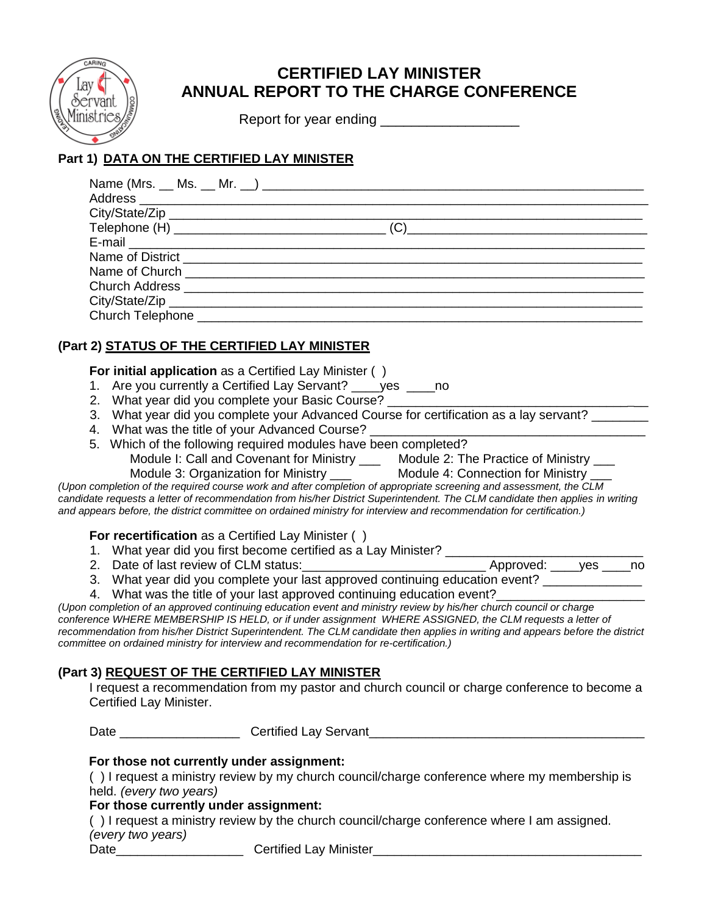

# **CERTIFIED LAY MINISTER ANNUAL REPORT TO THE CHARGE CONFERENCE**

Report for year ending \_\_\_\_\_\_\_\_\_\_\_\_\_\_\_\_\_\_

## **Part 1) DATA ON THE CERTIFIED LAY MINISTER**

| <b>Church Address Church Address</b> |  |
|--------------------------------------|--|
|                                      |  |
|                                      |  |

## **(Part 2) STATUS OF THE CERTIFIED LAY MINISTER**

### **For initial application** as a Certified Lay Minister ()

- 1. Are you currently a Certified Lay Servant? \_\_\_\_yes \_\_\_\_no
- 2. What year did you complete your Basic Course?
- 3. What year did you complete your Advanced Course for certification as a lay servant?
- 4. What was the title of your Advanced Course?
- 5. Which of the following required modules have been completed? Module I: Call and Covenant for Ministry \_\_\_ Module 2: The Practice of Ministry \_

Module 3: Organization for Ministry \_\_\_ Module 4: Connection for Ministry \_\_\_ *(Upon completion of the required course work and after completion of appropriate screening and assessment, the CLM candidate requests a letter of recommendation from his/her District Superintendent. The CLM candidate then applies in writing and appears before, the district committee on ordained ministry for interview and recommendation for certification.)*

**For recertification** as a Certified Lay Minister ()

- 1. What year did you first become certified as a Lay Minister?
- 2. Date of last review of CLM status: 2. Date of last review of CLM status:
- 3. What year did you complete your last approved continuing education event?
- 4. What was the title of your last approved continuing education event?

*(Upon completion of an approved continuing education event and ministry review by his/her church council or charge conference WHERE MEMBERSHIP IS HELD, or if under assignment WHERE ASSIGNED, the CLM requests a letter of recommendation from his/her District Superintendent. The CLM candidate then applies in writing and appears before the district committee on ordained ministry for interview and recommendation for re-certification.)*

## **(Part 3) REQUEST OF THE CERTIFIED LAY MINISTER**

I request a recommendation from my pastor and church council or charge conference to become a Certified Lay Minister.

Date \_\_\_\_\_\_\_\_\_\_\_\_\_\_\_\_\_\_\_\_\_Certified Lay Servant\_\_\_\_\_\_\_\_\_\_\_\_\_\_\_\_\_\_\_\_\_\_\_\_\_\_\_\_\_\_\_\_\_\_

## **For those not currently under assignment:**

( ) I request a ministry review by my church council/charge conference where my membership is held. *(every two years)*

## **For those currently under assignment:**

( ) I request a ministry review by the church council/charge conference where I am assigned. *(every two years)*

Date\_\_\_\_\_\_\_\_\_\_\_\_\_\_\_\_\_\_\_\_\_\_\_\_\_\_\_Certified Lay Minister\_\_\_\_\_\_\_\_\_\_\_\_\_\_\_\_\_\_\_\_\_\_\_\_\_\_\_